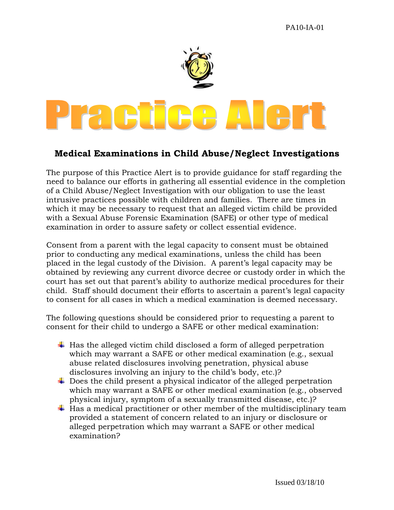

## **Medical Examinations in Child Abuse/Neglect Investigations**

The purpose of this Practice Alert is to provide guidance for staff regarding the need to balance our efforts in gathering all essential evidence in the completion of a Child Abuse/Neglect Investigation with our obligation to use the least intrusive practices possible with children and families. There are times in which it may be necessary to request that an alleged victim child be provided with a Sexual Abuse Forensic Examination (SAFE) or other type of medical examination in order to assure safety or collect essential evidence.

Consent from a parent with the legal capacity to consent must be obtained prior to conducting any medical examinations, unless the child has been placed in the legal custody of the Division. A parent's legal capacity may be obtained by reviewing any current divorce decree or custody order in which the court has set out that parent's ability to authorize medical procedures for their child. Staff should document their efforts to ascertain a parent's legal capacity to consent for all cases in which a medical examination is deemed necessary.

The following questions should be considered prior to requesting a parent to consent for their child to undergo a SAFE or other medical examination:

- $\ddot{\phantom{1}}$  Has the alleged victim child disclosed a form of alleged perpetration which may warrant a SAFE or other medical examination (e.g., sexual abuse related disclosures involving penetration, physical abuse disclosures involving an injury to the child's body, etc.)?
- $\ddot{\phantom{1}}$  Does the child present a physical indicator of the alleged perpetration which may warrant a SAFE or other medical examination (e.g., observed physical injury, symptom of a sexually transmitted disease, etc.)?
- $\ddot{\bullet}$  Has a medical practitioner or other member of the multidisciplinary team provided a statement of concern related to an injury or disclosure or alleged perpetration which may warrant a SAFE or other medical examination?